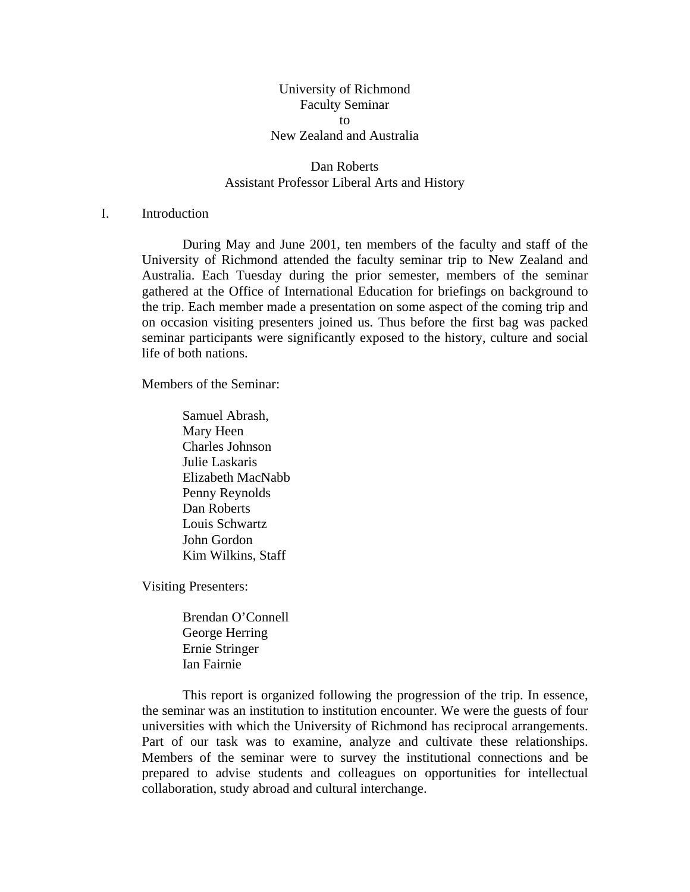# University of Richmond Faculty Seminar to New Zealand and Australia

# Dan Roberts Assistant Professor Liberal Arts and History

# I. Introduction

During May and June 2001, ten members of the faculty and staff of the University of Richmond attended the faculty seminar trip to New Zealand and Australia. Each Tuesday during the prior semester, members of the seminar gathered at the Office of International Education for briefings on background to the trip. Each member made a presentation on some aspect of the coming trip and on occasion visiting presenters joined us. Thus before the first bag was packed seminar participants were significantly exposed to the history, culture and social life of both nations.

Members of the Seminar:

Samuel Abrash, Mary Heen Charles Johnson Julie Laskaris Elizabeth MacNabb Penny Reynolds Dan Roberts Louis Schwartz John Gordon Kim Wilkins, Staff

Visiting Presenters:

 Brendan O'Connell George Herring Ernie Stringer Ian Fairnie

 This report is organized following the progression of the trip. In essence, the seminar was an institution to institution encounter. We were the guests of four universities with which the University of Richmond has reciprocal arrangements. Part of our task was to examine, analyze and cultivate these relationships. Members of the seminar were to survey the institutional connections and be prepared to advise students and colleagues on opportunities for intellectual collaboration, study abroad and cultural interchange.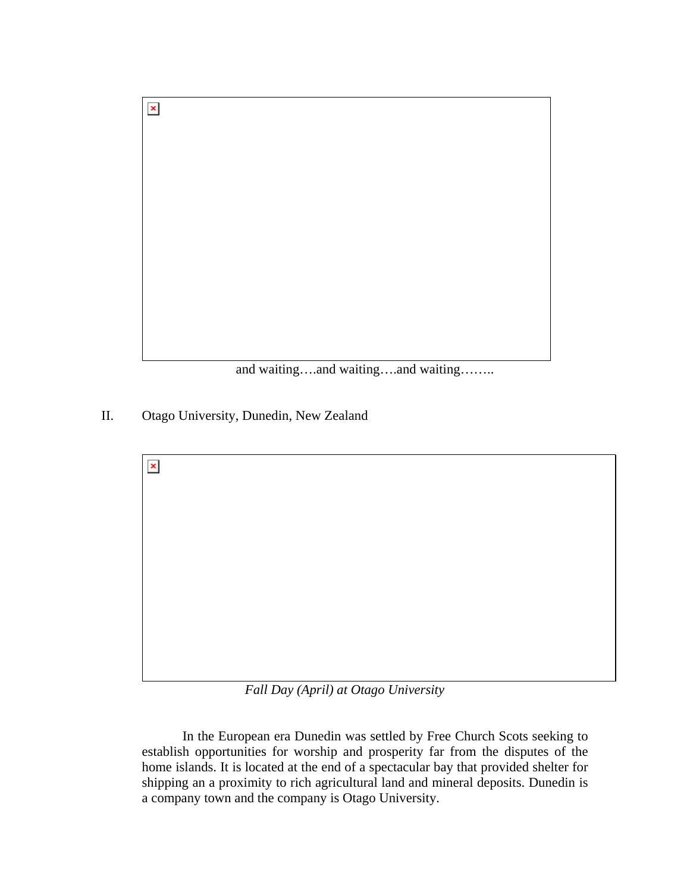

and waiting….and waiting….and waiting……..

II. Otago University, Dunedin, New Zealand

 $\pmb{\times}$ 



*Fall Day (April) at Otago University* 

In the European era Dunedin was settled by Free Church Scots seeking to establish opportunities for worship and prosperity far from the disputes of the home islands. It is located at the end of a spectacular bay that provided shelter for shipping an a proximity to rich agricultural land and mineral deposits. Dunedin is a company town and the company is Otago University.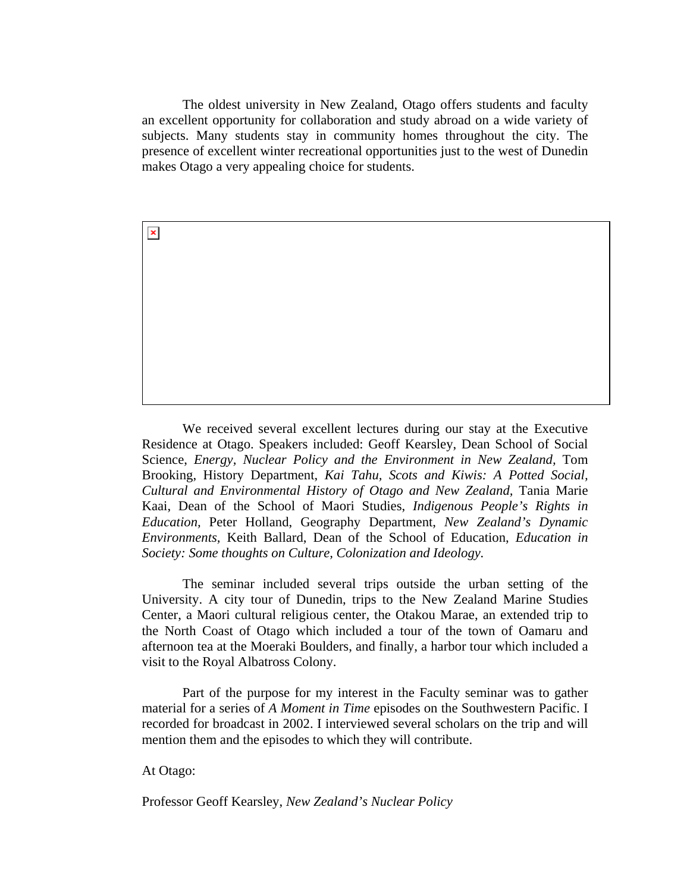The oldest university in New Zealand, Otago offers students and faculty an excellent opportunity for collaboration and study abroad on a wide variety of subjects. Many students stay in community homes throughout the city. The presence of excellent winter recreational opportunities just to the west of Dunedin makes Otago a very appealing choice for students.

 We received several excellent lectures during our stay at the Executive Residence at Otago. Speakers included: Geoff Kearsley, Dean School of Social Science, *Energy, Nuclear Policy and the Environment in New Zealand*, Tom Brooking, History Department, *Kai Tahu, Scots and Kiwis: A Potted Social, Cultural and Environmental History of Otago and New Zealand,* Tania Marie Kaai, Dean of the School of Maori Studies, *Indigenous People's Rights in Education,* Peter Holland, Geography Department, *New Zealand's Dynamic Environments,* Keith Ballard, Dean of the School of Education, *Education in Society: Some thoughts on Culture, Colonization and Ideology.* 

 The seminar included several trips outside the urban setting of the University. A city tour of Dunedin, trips to the New Zealand Marine Studies Center, a Maori cultural religious center, the Otakou Marae, an extended trip to the North Coast of Otago which included a tour of the town of Oamaru and afternoon tea at the Moeraki Boulders, and finally, a harbor tour which included a visit to the Royal Albatross Colony.

 Part of the purpose for my interest in the Faculty seminar was to gather material for a series of *A Moment in Time* episodes on the Southwestern Pacific. I recorded for broadcast in 2002. I interviewed several scholars on the trip and will mention them and the episodes to which they will contribute.

At Otago:

 $\pmb{\times}$ 

Professor Geoff Kearsley, *New Zealand's Nuclear Policy*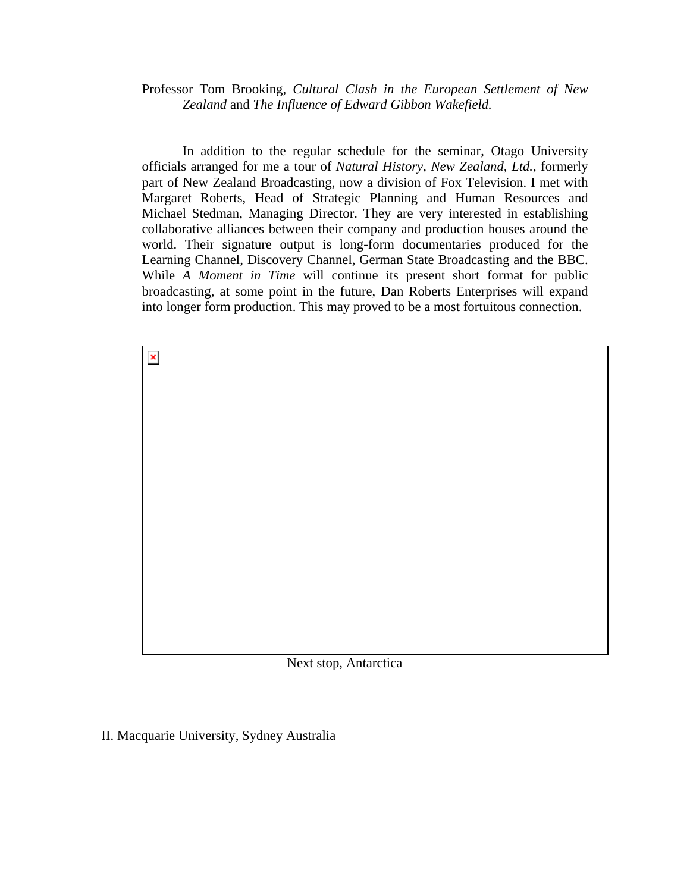Professor Tom Brooking, *Cultural Clash in the European Settlement of New Zealand* and *The Influence of Edward Gibbon Wakefield.*

 In addition to the regular schedule for the seminar, Otago University officials arranged for me a tour of *Natural History, New Zealand, Ltd.*, formerly part of New Zealand Broadcasting, now a division of Fox Television. I met with Margaret Roberts, Head of Strategic Planning and Human Resources and Michael Stedman, Managing Director. They are very interested in establishing collaborative alliances between their company and production houses around the world. Their signature output is long-form documentaries produced for the Learning Channel, Discovery Channel, German State Broadcasting and the BBC. While *A Moment in Time* will continue its present short format for public broadcasting, at some point in the future, Dan Roberts Enterprises will expand into longer form production. This may proved to be a most fortuitous connection.

Next stop, Antarctica

II. Macquarie University, Sydney Australia

 $\pmb{\times}$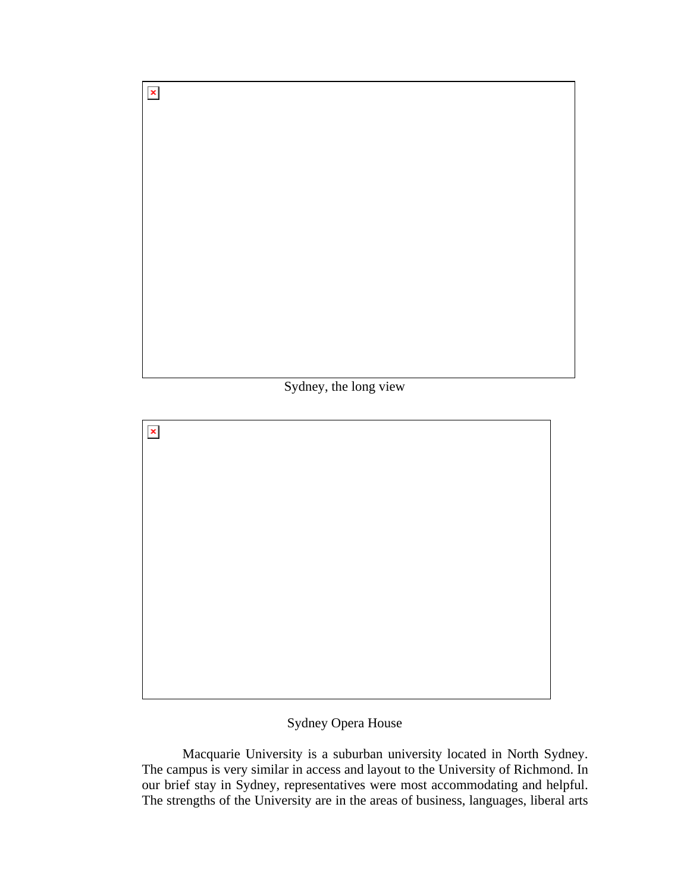Sydney, the long view

 $\pmb{\mathsf{x}}$ 

 $\pmb{\times}$ 

# Sydney Opera House

 Macquarie University is a suburban university located in North Sydney. The campus is very similar in access and layout to the University of Richmond. In our brief stay in Sydney, representatives were most accommodating and helpful. The strengths of the University are in the areas of business, languages, liberal arts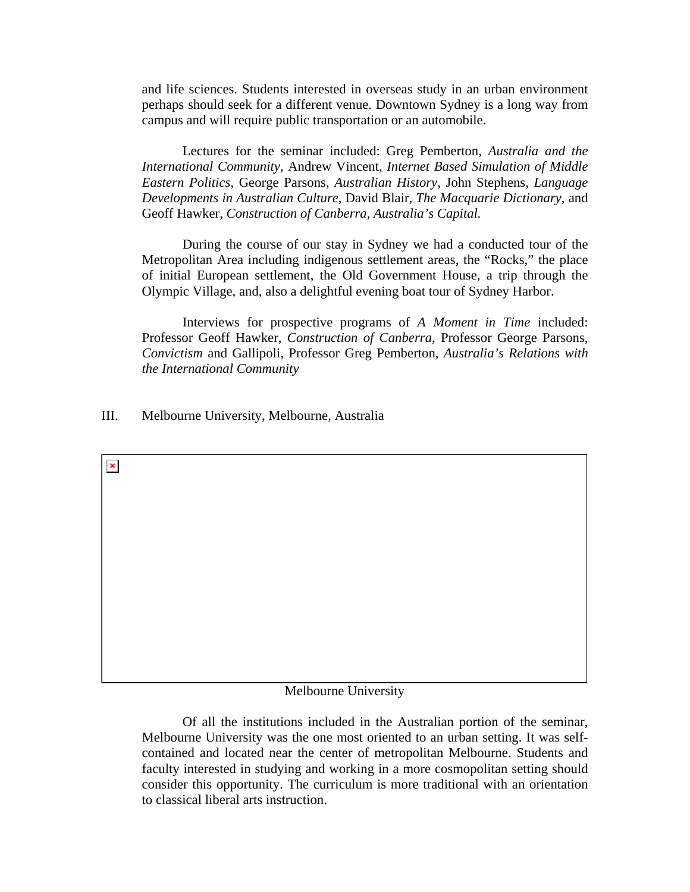and life sciences. Students interested in overseas study in an urban environment perhaps should seek for a different venue. Downtown Sydney is a long way from campus and will require public transportation or an automobile.

 Lectures for the seminar included: Greg Pemberton, *Australia and the International Community*, Andrew Vincent, *Internet Based Simulation of Middle Eastern Politics,* George Parsons, *Australian History*, John Stephens, *Language Developments in Australian Culture,* David Blair, *The Macquarie Dictionary*, and Geoff Hawker, *Construction of Canberra, Australia's Capital.*

 During the course of our stay in Sydney we had a conducted tour of the Metropolitan Area including indigenous settlement areas, the "Rocks," the place of initial European settlement, the Old Government House, a trip through the Olympic Village, and, also a delightful evening boat tour of Sydney Harbor.

 Interviews for prospective programs of *A Moment in Time* included: Professor Geoff Hawker, *Construction of Canberra,* Professor George Parsons, *Convictism* and Gallipoli, Professor Greg Pemberton, *Australia's Relations with the International Community* 

III. Melbourne University, Melbourne, Australia

 $\pmb{\times}$ 

## Melbourne University

 Of all the institutions included in the Australian portion of the seminar, Melbourne University was the one most oriented to an urban setting. It was selfcontained and located near the center of metropolitan Melbourne. Students and faculty interested in studying and working in a more cosmopolitan setting should consider this opportunity. The curriculum is more traditional with an orientation to classical liberal arts instruction.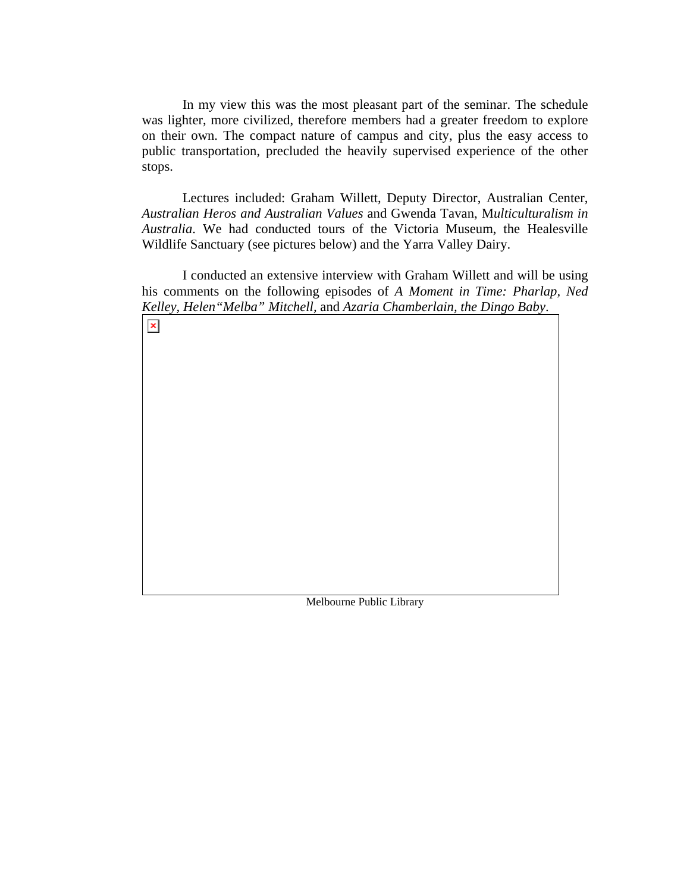In my view this was the most pleasant part of the seminar. The schedule was lighter, more civilized, therefore members had a greater freedom to explore on their own. The compact nature of campus and city, plus the easy access to public transportation, precluded the heavily supervised experience of the other stops.

 Lectures included: Graham Willett, Deputy Director, Australian Center, *Australian Heros and Australian Values* and Gwenda Tavan, M*ulticulturalism in Australia*. We had conducted tours of the Victoria Museum, the Healesville Wildlife Sanctuary (see pictures below) and the Yarra Valley Dairy.

 I conducted an extensive interview with Graham Willett and will be using his comments on the following episodes of *A Moment in Time: Pharlap, Ned Kelley, Helen"Melba" Mitchell,* and *Azaria Chamberlain, the Dingo Baby*.

 $\pmb{\times}$ 

Melbourne Public Library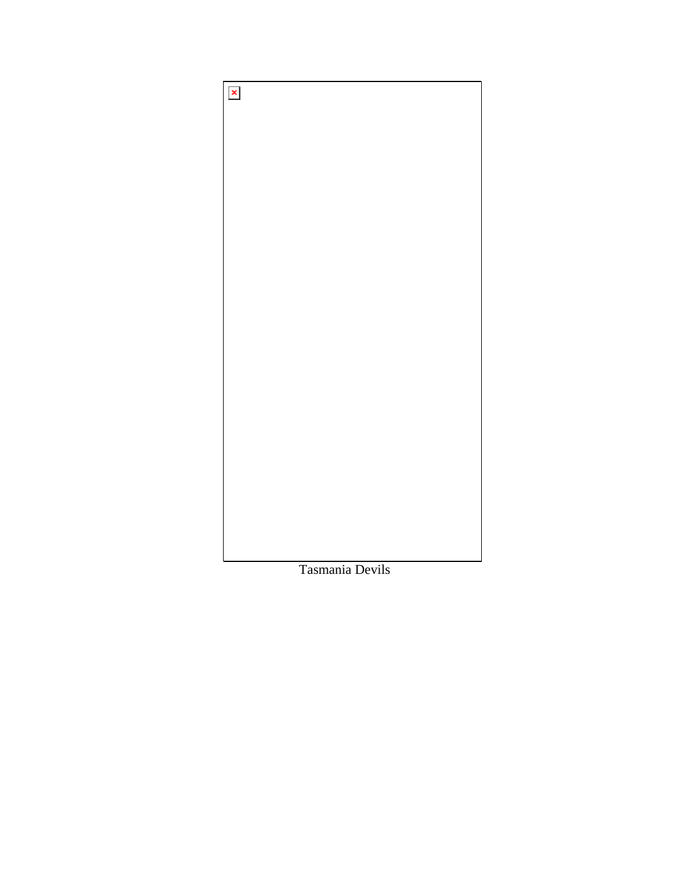

Tasmania Devils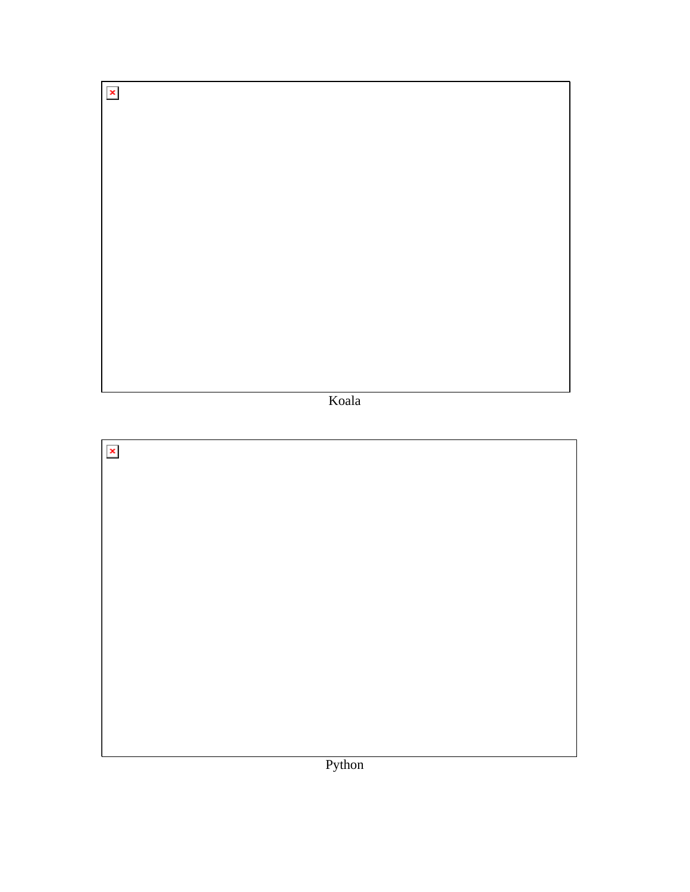Koala

 $\boldsymbol{\mathsf{x}}$ 

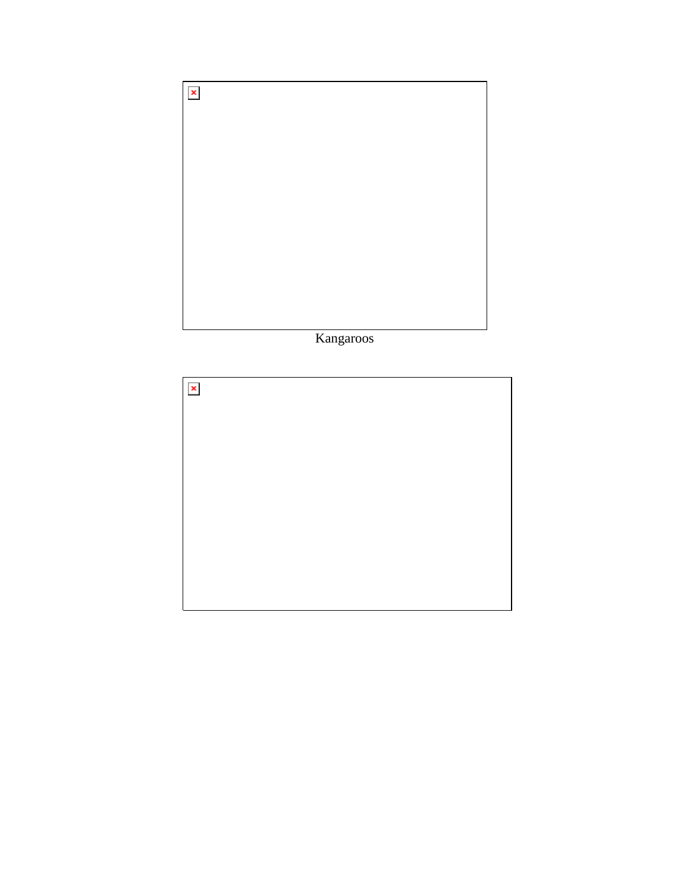

Kangaroos

| $\vert x \vert$ |  |
|-----------------|--|
|                 |  |
|                 |  |
|                 |  |
|                 |  |
|                 |  |
|                 |  |
|                 |  |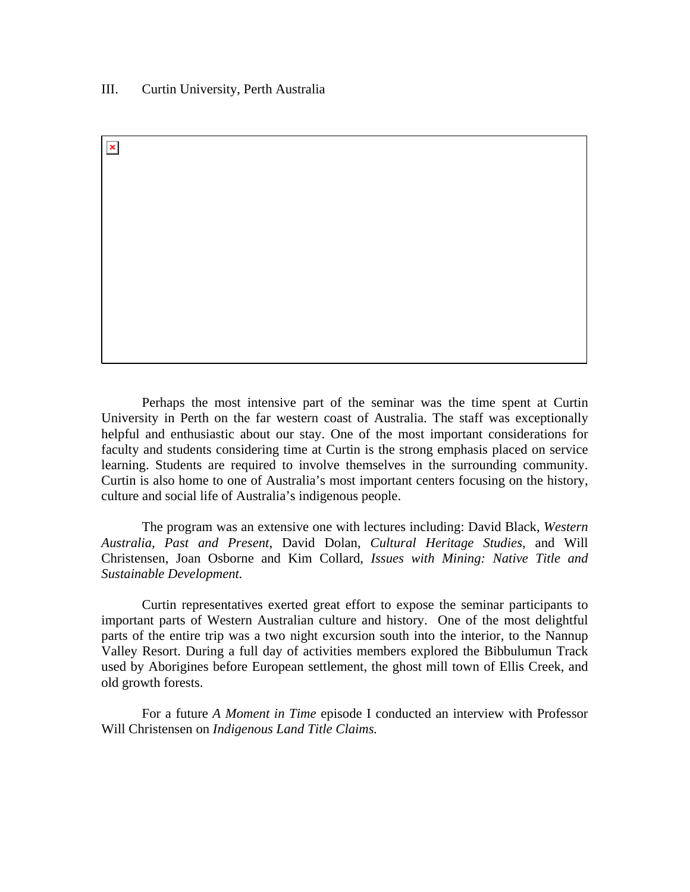## III. Curtin University, Perth Australia

 $\pmb{\times}$ 

Perhaps the most intensive part of the seminar was the time spent at Curtin University in Perth on the far western coast of Australia. The staff was exceptionally helpful and enthusiastic about our stay. One of the most important considerations for faculty and students considering time at Curtin is the strong emphasis placed on service learning. Students are required to involve themselves in the surrounding community. Curtin is also home to one of Australia's most important centers focusing on the history, culture and social life of Australia's indigenous people.

The program was an extensive one with lectures including: David Black, *Western Australia, Past and Present*, David Dolan, *Cultural Heritage Studies,* and Will Christensen, Joan Osborne and Kim Collard, *Issues with Mining: Native Title and Sustainable Development.* 

Curtin representatives exerted great effort to expose the seminar participants to important parts of Western Australian culture and history. One of the most delightful parts of the entire trip was a two night excursion south into the interior, to the Nannup Valley Resort. During a full day of activities members explored the Bibbulumun Track used by Aborigines before European settlement, the ghost mill town of Ellis Creek, and old growth forests.

For a future *A Moment in Time* episode I conducted an interview with Professor Will Christensen on *Indigenous Land Title Claims.*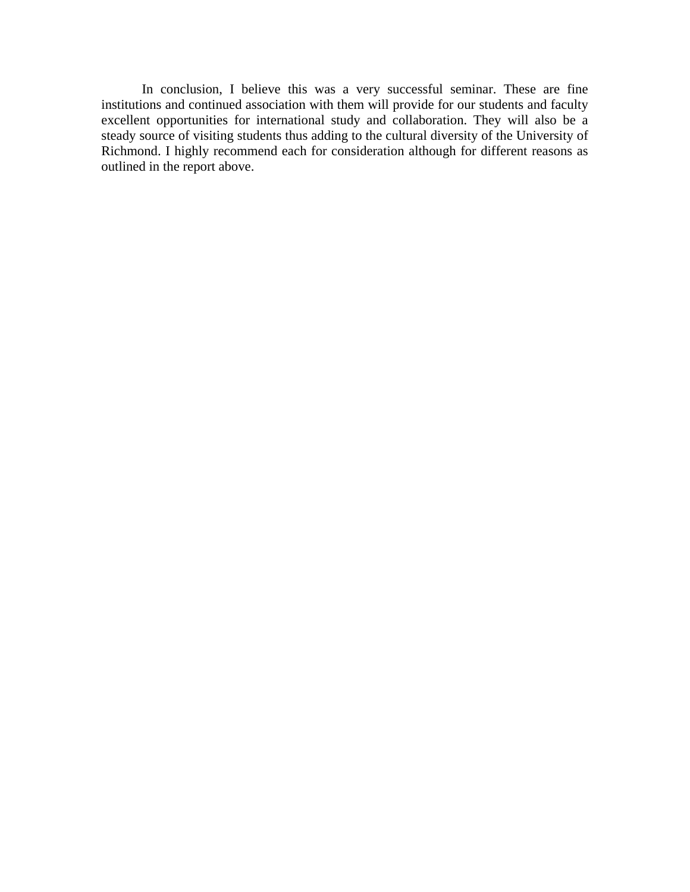In conclusion, I believe this was a very successful seminar. These are fine institutions and continued association with them will provide for our students and faculty excellent opportunities for international study and collaboration. They will also be a steady source of visiting students thus adding to the cultural diversity of the University of Richmond. I highly recommend each for consideration although for different reasons as outlined in the report above.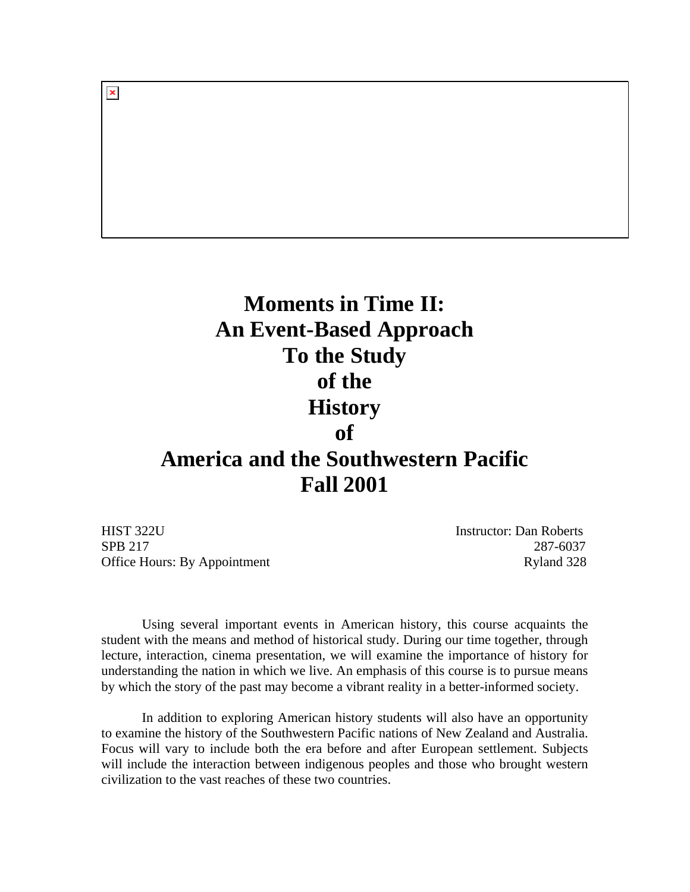# **Moments in Time II: An Event-Based Approach To the Study of the History of America and the Southwestern Pacific Fall 2001**

HIST 322U Instructor: Dan Roberts SPB 217 287-6037 Office Hours: By Appointment Ryland 328

 $\pmb{\times}$ 

 Using several important events in American history, this course acquaints the student with the means and method of historical study. During our time together, through lecture, interaction, cinema presentation, we will examine the importance of history for understanding the nation in which we live. An emphasis of this course is to pursue means by which the story of the past may become a vibrant reality in a better-informed society.

 In addition to exploring American history students will also have an opportunity to examine the history of the Southwestern Pacific nations of New Zealand and Australia. Focus will vary to include both the era before and after European settlement. Subjects will include the interaction between indigenous peoples and those who brought western civilization to the vast reaches of these two countries.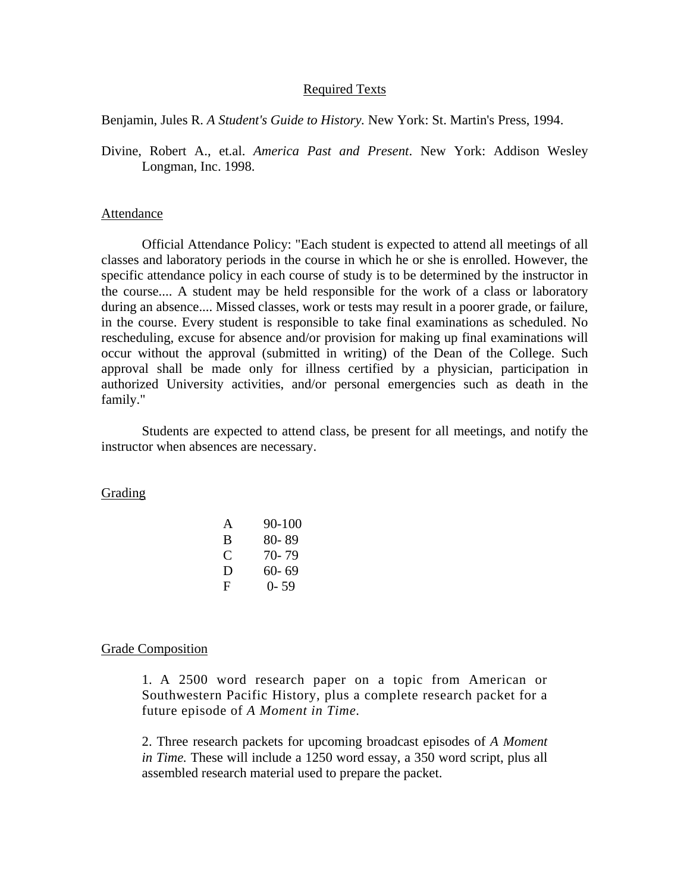# Required Texts

Benjamin, Jules R. *A Student's Guide to History.* New York: St. Martin's Press, 1994.

Divine, Robert A., et.al. *America Past and Present*. New York: Addison Wesley Longman, Inc. 1998.

#### Attendance

 Official Attendance Policy: "Each student is expected to attend all meetings of all classes and laboratory periods in the course in which he or she is enrolled. However, the specific attendance policy in each course of study is to be determined by the instructor in the course.... A student may be held responsible for the work of a class or laboratory during an absence.... Missed classes, work or tests may result in a poorer grade, or failure, in the course. Every student is responsible to take final examinations as scheduled. No rescheduling, excuse for absence and/or provision for making up final examinations will occur without the approval (submitted in writing) of the Dean of the College. Such approval shall be made only for illness certified by a physician, participation in authorized University activities, and/or personal emergencies such as death in the family."

 Students are expected to attend class, be present for all meetings, and notify the instructor when absences are necessary.

Grading

| А | 90-100    |
|---|-----------|
| B | 80-89     |
| C | $70 - 79$ |
| D | $60 - 69$ |
| F | $0 - 59$  |

#### Grade Composition

1. A 2500 word research paper on a topic from American or Southwestern Pacific History, plus a complete research packet for a future episode of *A Moment in Time.*

2. Three research packets for upcoming broadcast episodes of *A Moment in Time.* These will include a 1250 word essay, a 350 word script, plus all assembled research material used to prepare the packet.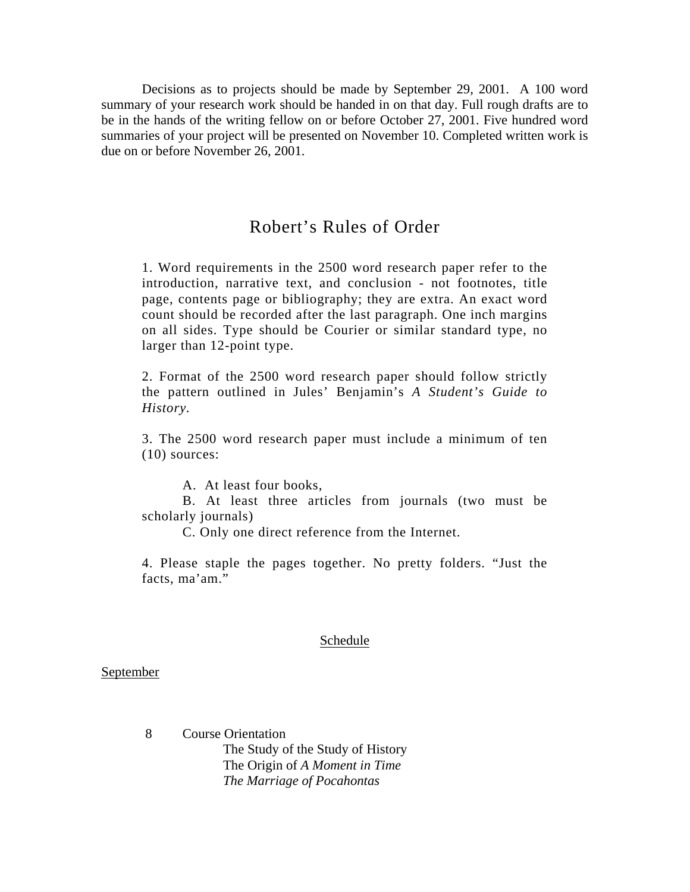Decisions as to projects should be made by September 29, 2001. A 100 word summary of your research work should be handed in on that day. Full rough drafts are to be in the hands of the writing fellow on or before October 27, 2001. Five hundred word summaries of your project will be presented on November 10. Completed written work is due on or before November 26, 2001.

# Robert's Rules of Order

1. Word requirements in the 2500 word research paper refer to the introduction, narrative text, and conclusion - not footnotes, title page, contents page or bibliography; they are extra. An exact word count should be recorded after the last paragraph. One inch margins on all sides. Type should be Courier or similar standard type, no larger than 12-point type.

2. Format of the 2500 word research paper should follow strictly the pattern outlined in Jules' Benjamin's *A Student's Guide to History.*

3. The 2500 word research paper must include a minimum of ten (10) sources:

A. At least four books,

 B. At least three articles from journals (two must be scholarly journals)

C. Only one direct reference from the Internet.

4. Please staple the pages together. No pretty folders. "Just the facts, ma'am."

#### Schedule

## **September**

 8 Course Orientation The Study of the Study of History The Origin of *A Moment in Time The Marriage of Pocahontas*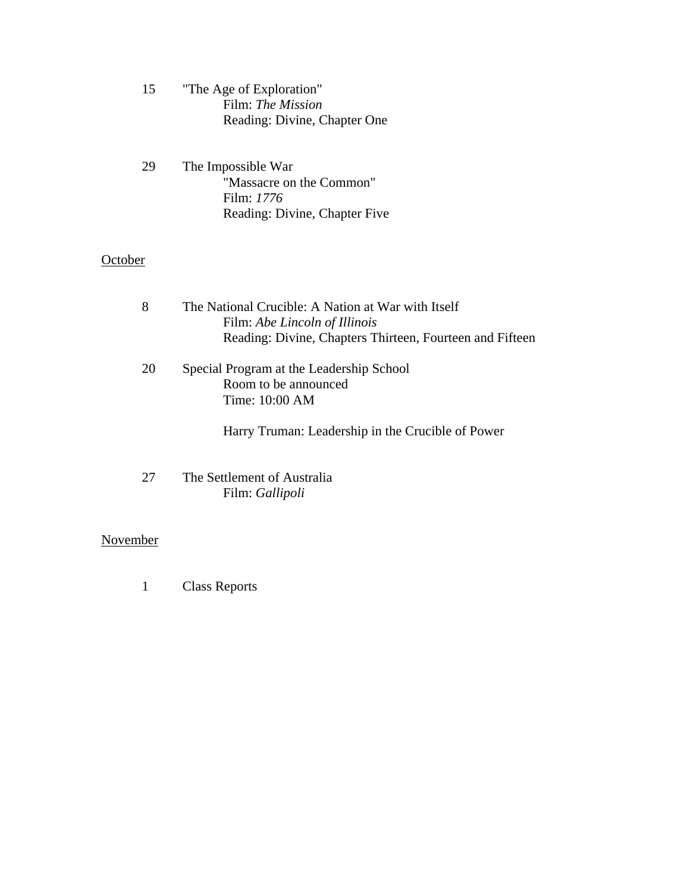- 15 "The Age of Exploration" Film: *The Mission* Reading: Divine, Chapter One
- 29 The Impossible War "Massacre on the Common" Film: *1776* Reading: Divine, Chapter Five

# **October**

| 8  | The National Crucible: A Nation at War with Itself<br>Film: Abe Lincoln of Illinois<br>Reading: Divine, Chapters Thirteen, Fourteen and Fifteen |
|----|-------------------------------------------------------------------------------------------------------------------------------------------------|
| 20 | Special Program at the Leadership School<br>Room to be announced<br>Time: 10:00 AM                                                              |
|    | Harry Truman: Leadership in the Crucible of Power                                                                                               |
|    |                                                                                                                                                 |

27 The Settlement of Australia Film: *Gallipoli* 

# November

1 Class Reports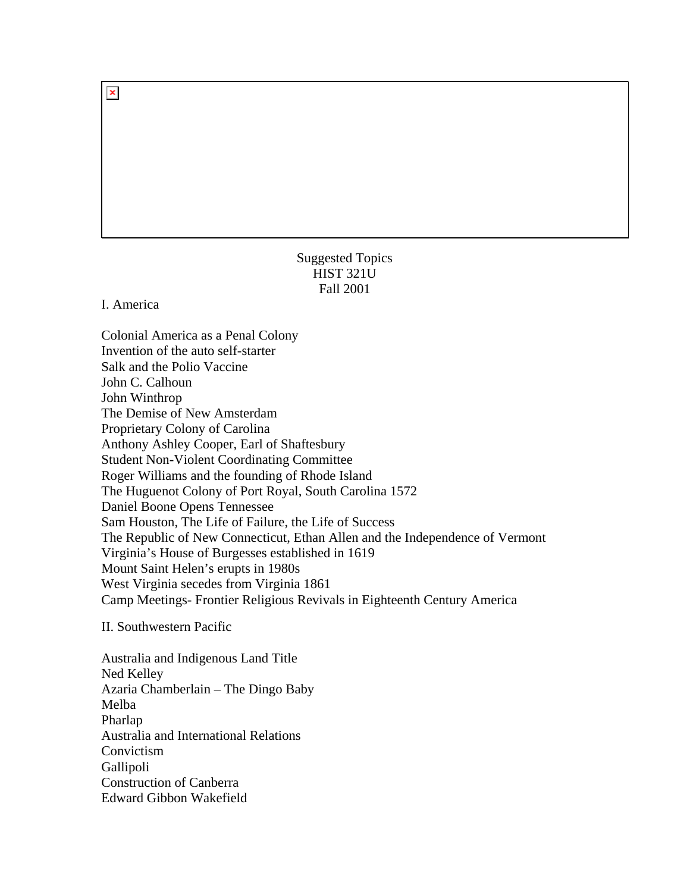# Suggested Topics HIST 321U Fall 2001

I. America

Colonial America as a Penal Colony Invention of the auto self-starter Salk and the Polio Vaccine John C. Calhoun John Winthrop The Demise of New Amsterdam Proprietary Colony of Carolina Anthony Ashley Cooper, Earl of Shaftesbury Student Non-Violent Coordinating Committee Roger Williams and the founding of Rhode Island The Huguenot Colony of Port Royal, South Carolina 1572 Daniel Boone Opens Tennessee Sam Houston, The Life of Failure, the Life of Success The Republic of New Connecticut, Ethan Allen and the Independence of Vermont Virginia's House of Burgesses established in 1619 Mount Saint Helen's erupts in 1980s West Virginia secedes from Virginia 1861 Camp Meetings- Frontier Religious Revivals in Eighteenth Century America

II. Southwestern Pacific

Australia and Indigenous Land Title Ned Kelley Azaria Chamberlain – The Dingo Baby Melba Pharlap Australia and International Relations Convictism Gallipoli Construction of Canberra Edward Gibbon Wakefield

 $\pmb{\times}$